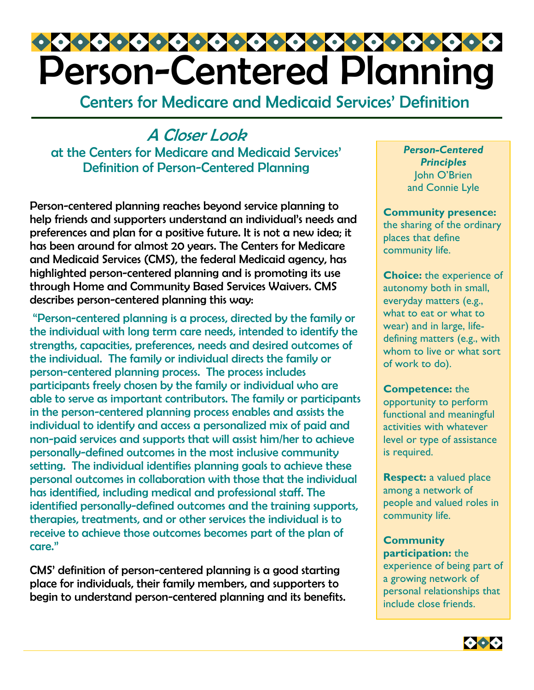# Person-Centered Planning

Centers for Medicare and Medicaid Services' Definition

A Closer Look at the Centers for Medicare and Medicaid Services' Definition of Person-Centered Planning

Person-centered planning reaches beyond service planning to help friends and supporters understand an individual's needs and preferences and plan for a positive future. It is not a new idea; it has been around for almost 20 years. The Centers for Medicare and Medicaid Services (CMS), the federal Medicaid agency, has highlighted person-centered planning and is promoting its use through Home and Community Based Services Waivers. CMS describes person-centered planning this way:

 "Person-centered planning is a process, directed by the family or the individual with long term care needs, intended to identify the strengths, capacities, preferences, needs and desired outcomes of the individual. The family or individual directs the family or person-centered planning process. The process includes participants freely chosen by the family or individual who are able to serve as important contributors. The family or participants in the person-centered planning process enables and assists the individual to identify and access a personalized mix of paid and non-paid services and supports that will assist him/her to achieve personally-defined outcomes in the most inclusive community setting. The individual identifies planning goals to achieve these personal outcomes in collaboration with those that the individual has identified, including medical and professional staff. The identified personally-defined outcomes and the training supports, therapies, treatments, and or other services the individual is to receive to achieve those outcomes becomes part of the plan of care."

CMS' definition of person-centered planning is a good starting place for individuals, their family members, and supporters to begin to understand person-centered planning and its benefits. *Person-Centered Principles*  John O'Brien and Connie Lyle

**Community presence:** the sharing of the ordinary places that define community life.

**Choice:** the experience of autonomy both in small, everyday matters (e.g., what to eat or what to wear) and in large, lifedefining matters (e.g., with whom to live or what sort. of work to do).

**Competence:** the opportunity to perform functional and meaningful activities with whatever level or type of assistance is required.

**Respect:** a valued place among a network of people and valued roles in community life.

**Community participation:** the experience of being part of a growing network of personal relationships that include close friends.

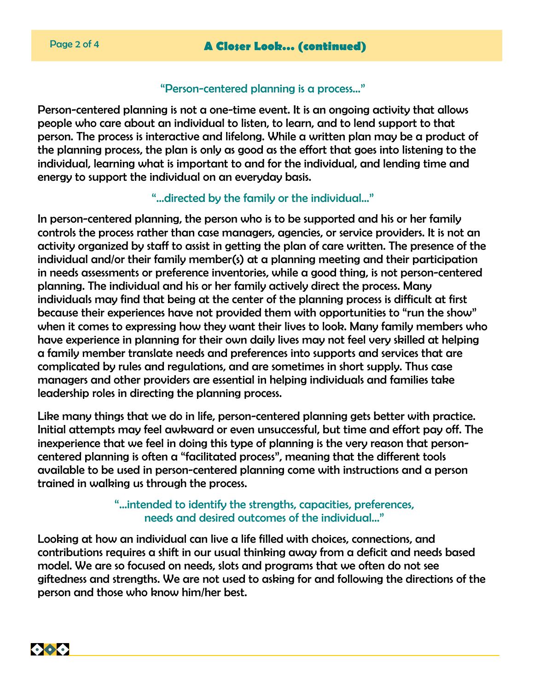### "Person-centered planning is a process…"

Person-centered planning is not a one-time event. It is an ongoing activity that allows people who care about an individual to listen, to learn, and to lend support to that person. The process is interactive and lifelong. While a written plan may be a product of the planning process, the plan is only as good as the effort that goes into listening to the individual, learning what is important to and for the individual, and lending time and energy to support the individual on an everyday basis.

### "…directed by the family or the individual…"

In person-centered planning, the person who is to be supported and his or her family controls the process rather than case managers, agencies, or service providers. It is not an activity organized by staff to assist in getting the plan of care written. The presence of the individual and/or their family member(s) at a planning meeting and their participation in needs assessments or preference inventories, while a good thing, is not person-centered planning. The individual and his or her family actively direct the process. Many individuals may find that being at the center of the planning process is difficult at first because their experiences have not provided them with opportunities to "run the show" when it comes to expressing how they want their lives to look. Many family members who have experience in planning for their own daily lives may not feel very skilled at helping a family member translate needs and preferences into supports and services that are complicated by rules and regulations, and are sometimes in short supply. Thus case managers and other providers are essential in helping individuals and families take leadership roles in directing the planning process.

Like many things that we do in life, person-centered planning gets better with practice. Initial attempts may feel awkward or even unsuccessful, but time and effort pay off. The inexperience that we feel in doing this type of planning is the very reason that personcentered planning is often a "facilitated process", meaning that the different tools available to be used in person-centered planning come with instructions and a person trained in walking us through the process.

## "…intended to identify the strengths, capacities, preferences, needs and desired outcomes of the individual..."

Looking at how an individual can live a life filled with choices, connections, and contributions requires a shift in our usual thinking away from a deficit and needs based model. We are so focused on needs, slots and programs that we often do not see giftedness and strengths. We are not used to asking for and following the directions of the person and those who know him/her best.

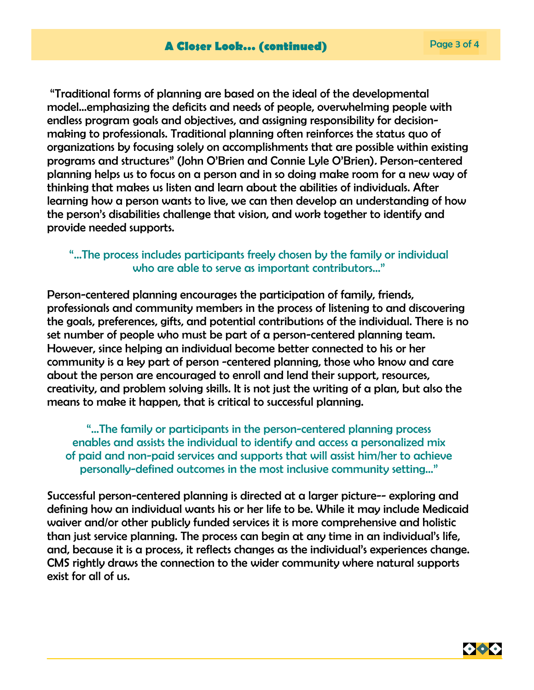"Traditional forms of planning are based on the ideal of the developmental model…emphasizing the deficits and needs of people, overwhelming people with endless program goals and objectives, and assigning responsibility for decisionmaking to professionals. Traditional planning often reinforces the status quo of organizations by focusing solely on accomplishments that are possible within existing programs and structures" (John O'Brien and Connie Lyle O'Brien). Person-centered planning helps us to focus on a person and in so doing make room for a new way of thinking that makes us listen and learn about the abilities of individuals. After learning how a person wants to live, we can then develop an understanding of how the person's disabilities challenge that vision, and work together to identify and provide needed supports.

### "…The process includes participants freely chosen by the family or individual who are able to serve as important contributors..."

Person-centered planning encourages the participation of family, friends, professionals and community members in the process of listening to and discovering the goals, preferences, gifts, and potential contributions of the individual. There is no set number of people who must be part of a person-centered planning team. However, since helping an individual become better connected to his or her community is a key part of person -centered planning, those who know and care about the person are encouraged to enroll and lend their support, resources, creativity, and problem solving skills. It is not just the writing of a plan, but also the means to make it happen, that is critical to successful planning.

"…The family or participants in the person-centered planning process enables and assists the individual to identify and access a personalized mix of paid and non-paid services and supports that will assist him/her to achieve personally-defined outcomes in the most inclusive community setting..."

Successful person-centered planning is directed at a larger picture-- exploring and defining how an individual wants his or her life to be. While it may include Medicaid waiver and/or other publicly funded services it is more comprehensive and holistic than just service planning. The process can begin at any time in an individual's life, and, because it is a process, it reflects changes as the individual's experiences change. CMS rightly draws the connection to the wider community where natural supports exist for all of us.